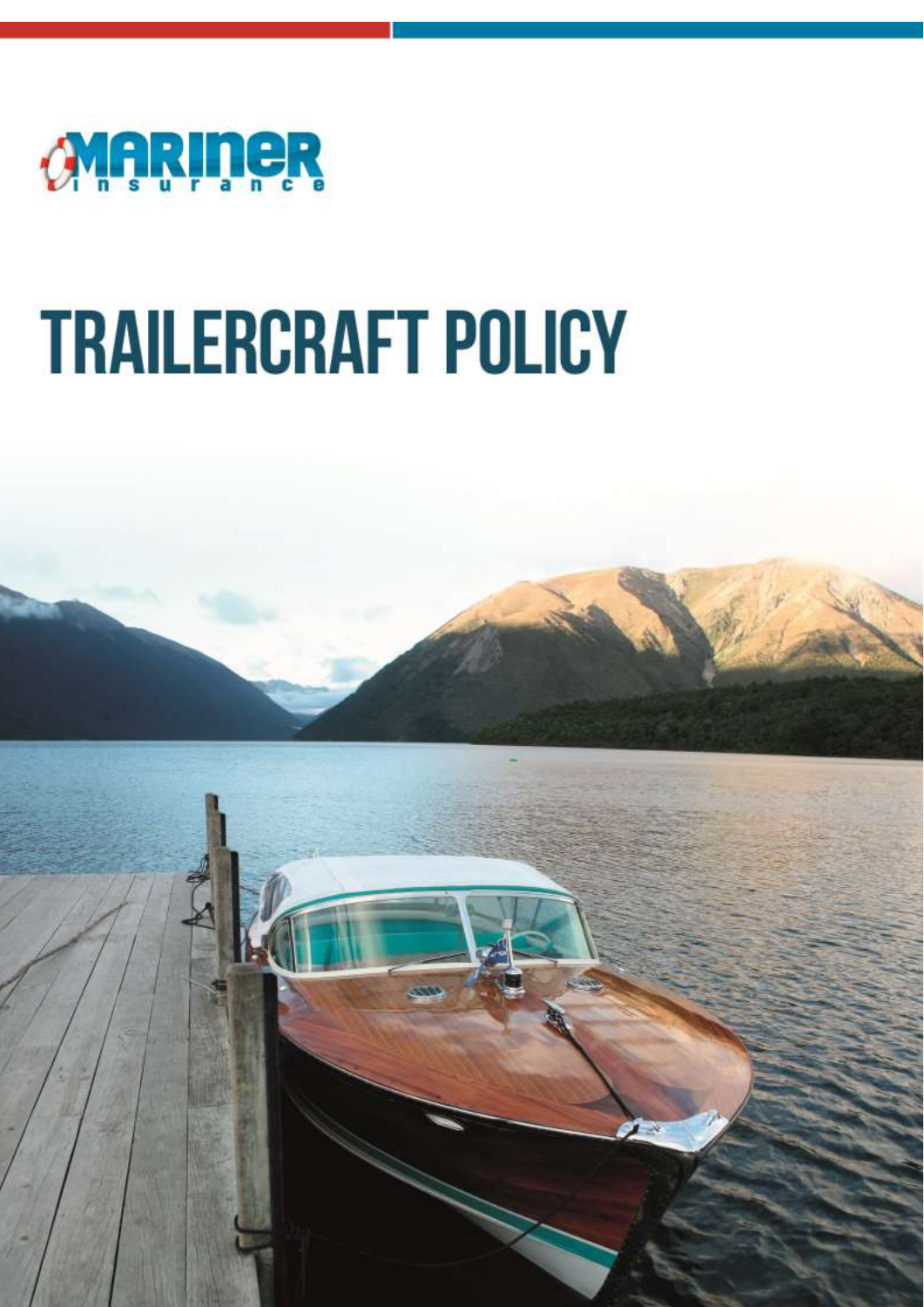

# **TRAILERCRAFT POLICY**

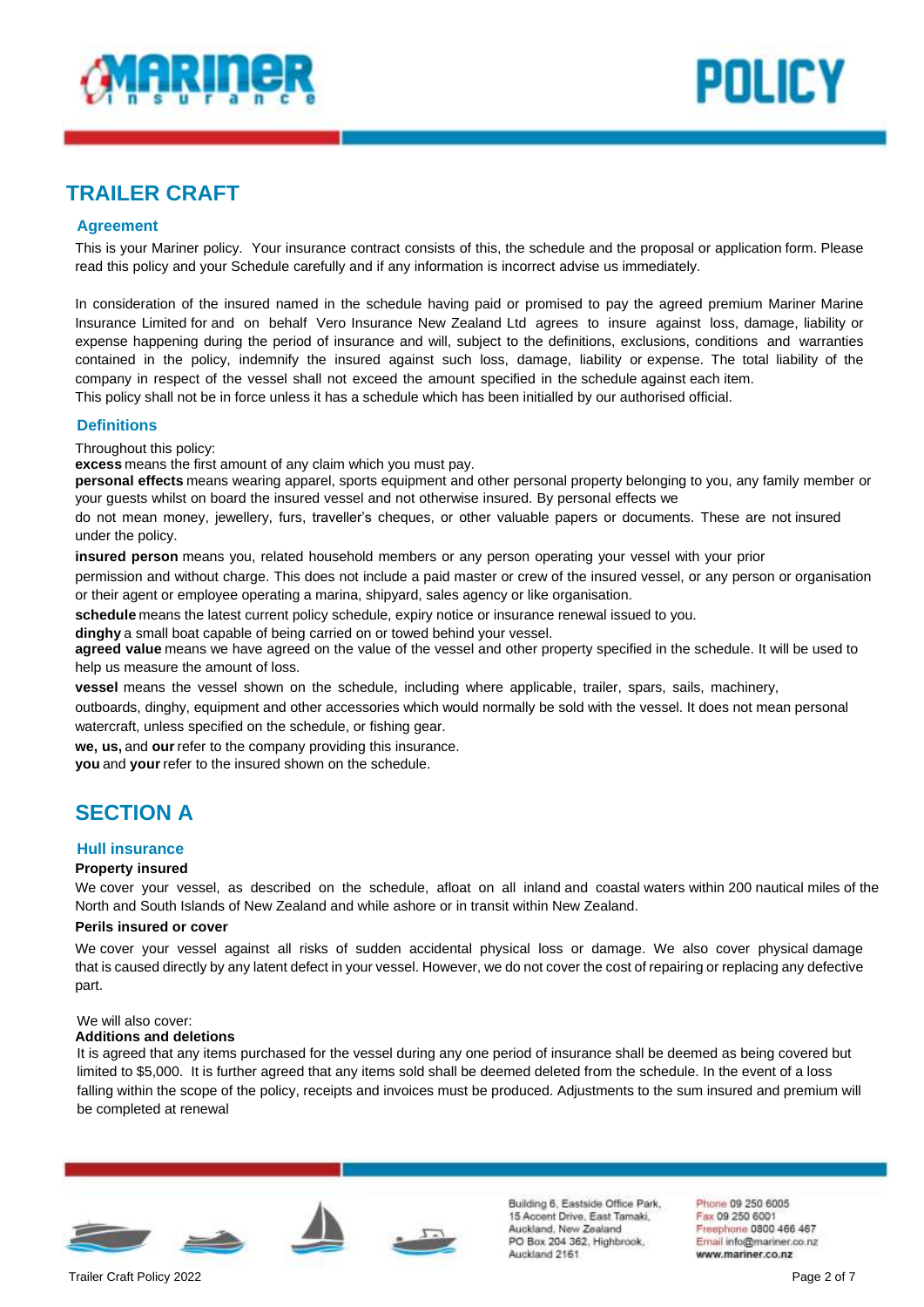



# **TRAILER CRAFT**

## **Agreement**

This is your Mariner policy. Your insurance contract consists of this, the schedule and the proposal or application form. Please read this policy and your Schedule carefully and if any information is incorrect advise us immediately.

In consideration of the insured named in the schedule having paid or promised to pay the agreed premium Mariner Marine Insurance Limited for and on behalf Vero Insurance New Zealand Ltd agrees to insure against loss, damage, liability or expense happening during the period of insurance and will, subject to the definitions, exclusions, conditions and warranties contained in the policy, indemnify the insured against such loss, damage, liability or expense. The total liability of the company in respect of the vessel shall not exceed the amount specified in the schedule against each item. This policy shall not be in force unless it has a schedule which has been initialled by our authorised official.

## **Definitions**

Throughout this policy:

**excess** means the first amount of any claim which you must pay.

**personal effects** means wearing apparel, sports equipment and other personal property belonging to you, any family member or your guests whilst on board the insured vessel and not otherwise insured. By personal effects we

do not mean money, jewellery, furs, traveller's cheques, or other valuable papers or documents. These are not insured under the policy.

**insured person** means you, related household members or any person operating your vessel with your prior

permission and without charge. This does not include a paid master or crew of the insured vessel, or any person or organisation or their agent or employee operating a marina, shipyard, sales agency or like organisation.

**schedule** means the latest current policy schedule, expiry notice or insurance renewal issued to you.

**dinghy** a small boat capable of being carried on or towed behind your vessel.

**agreed value** means we have agreed on the value of the vessel and other property specified in the schedule. It will be used to help us measure the amount of loss.

**vessel** means the vessel shown on the schedule, including where applicable, trailer, spars, sails, machinery,

outboards, dinghy, equipment and other accessories which would normally be sold with the vessel. It does not mean personal watercraft, unless specified on the schedule, or fishing gear.

**we, us,** and **our**refer to the company providing this insurance.

**you** and **your**refer to the insured shown on the schedule.

# **SECTION A**

## **Hull insurance**

## **Property insured**

We cover your vessel, as described on the schedule, afloat on all inland and coastal waters within 200 nautical miles of the North and South Islands of New Zealand and while ashore or in transit within New Zealand.

#### **Perils insured or cover**

We cover your vessel against all risks of sudden accidental physical loss or damage. We also cover physical damage that is caused directly by any latent defect in your vessel. However, we do not cover the cost of repairing or replacing any defective part.

#### We will also cover:

## **Additions and deletions**

It is agreed that any items purchased for the vessel during any one period of insurance shall be deemed as being covered but limited to \$5,000. It is further agreed that any items sold shall be deemed deleted from the schedule. In the event of a loss falling within the scope of the policy, receipts and invoices must be produced. Adjustments to the sum insured and premium will be completed at renewal







Building 6, Eastside Office Park. 15 Accent Drive, East Tamaki, Auckland, New Zealand PO Box 204 362, Highbrook. Auckland 2161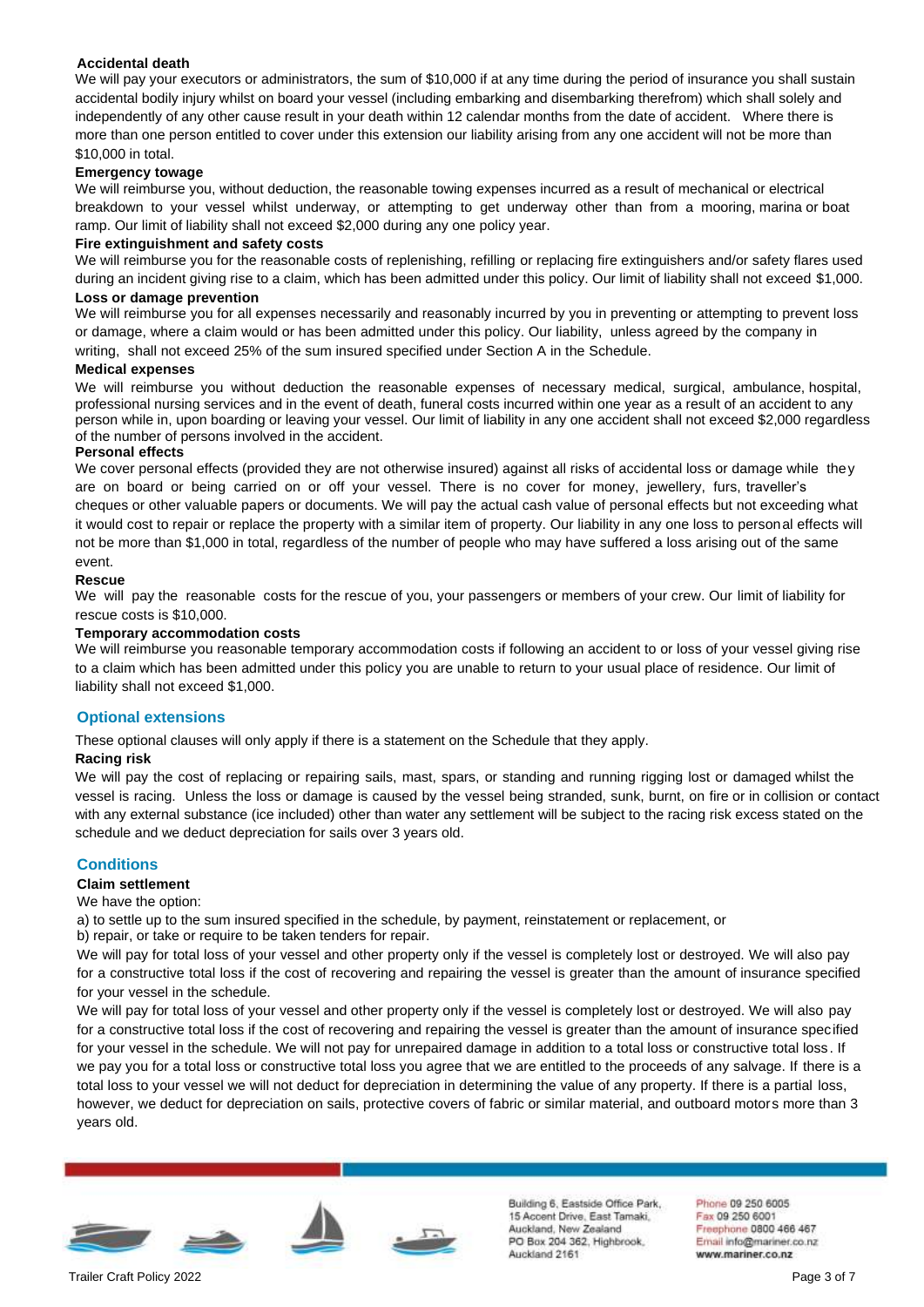## **Accidental death**

We will pay your executors or administrators, the sum of \$10,000 if at any time during the period of insurance you shall sustain accidental bodily injury whilst on board your vessel (including embarking and disembarking therefrom) which shall solely and independently of any other cause result in your death within 12 calendar months from the date of accident. Where there is more than one person entitled to cover under this extension our liability arising from any one accident will not be more than \$10,000 in total.

## **Emergency towage**

We will reimburse you, without deduction, the reasonable towing expenses incurred as a result of mechanical or electrical breakdown to your vessel whilst underway, or attempting to get underway other than from a mooring, marina or boat ramp. Our limit of liability shall not exceed \$2,000 during any one policy year.

#### **Fire extinguishment and safety costs**

We will reimburse you for the reasonable costs of replenishing, refilling or replacing fire extinguishers and/or safety flares used during an incident giving rise to a claim, which has been admitted under this policy. Our limit of liability shall not exceed \$1,000.

## **Loss or damage prevention**

We will reimburse you for all expenses necessarily and reasonably incurred by you in preventing or attempting to prevent loss or damage, where a claim would or has been admitted under this policy. Our liability, unless agreed by the company in writing, shall not exceed 25% of the sum insured specified under Section A in the Schedule.

## **Medical expenses**

We will reimburse you without deduction the reasonable expenses of necessary medical, surgical, ambulance, hospital, professional nursing services and in the event of death, funeral costs incurred within one year as a result of an accident to any person while in, upon boarding or leaving your vessel. Our limit of liability in any one accident shall not exceed \$2,000 regardless of the number of persons involved in the accident.

## **Personal effects**

We cover personal effects (provided they are not otherwise insured) against all risks of accidental loss or damage while they are on board or being carried on or off your vessel. There is no cover for money, jewellery, furs, traveller's cheques or other valuable papers or documents. We will pay the actual cash value of personal effects but not exceeding what it would cost to repair or replace the property with a similar item of property. Our liability in any one loss to personal effects will not be more than \$1,000 in total, regardless of the number of people who may have suffered a loss arising out of the same event.

## **Rescue**

We will pay the reasonable costs for the rescue of you, your passengers or members of your crew. Our limit of liability for rescue costs is \$10,000.

## **Temporary accommodation costs**

We will reimburse you reasonable temporary accommodation costs if following an accident to or loss of your vessel giving rise to a claim which has been admitted under this policy you are unable to return to your usual place of residence. Our limit of liability shall not exceed \$1,000.

## **Optional extensions**

These optional clauses will only apply if there is a statement on the Schedule that they apply.

## **Racing risk**

We will pay the cost of replacing or repairing sails, mast, spars, or standing and running rigging lost or damaged whilst the vessel is racing. Unless the loss or damage is caused by the vessel being stranded, sunk, burnt, on fire or in collision or contact with any external substance (ice included) other than water any settlement will be subject to the racing risk excess stated on the schedule and we deduct depreciation for sails over 3 years old.

## **Conditions**

## **Claim settlement**

We have the option:

a) to settle up to the sum insured specified in the schedule, by payment, reinstatement or replacement, or

b) repair, or take or require to be taken tenders for repair.

We will pay for total loss of your vessel and other property only if the vessel is completely lost or destroyed. We will also pay for a constructive total loss if the cost of recovering and repairing the vessel is greater than the amount of insurance specified for your vessel in the schedule.

We will pay for total loss of your vessel and other property only if the vessel is completely lost or destroyed. We will also pay for a constructive total loss if the cost of recovering and repairing the vessel is greater than the amount of insurance specified for your vessel in the schedule. We will not pay for unrepaired damage in addition to a total loss or constructive total loss. If we pay you for a total loss or constructive total loss you agree that we are entitled to the proceeds of any salvage. If there is a total loss to your vessel we will not deduct for depreciation in determining the value of any property. If there is a partial loss, however, we deduct for depreciation on sails, protective covers of fabric or similar material, and outboard motors more than 3 years old.







Building 6, Eastside Office Park. 15 Accent Drive, East Tamaki, Auckland, New Zealand PO Box 204 362, Highbrook, Auckland 2161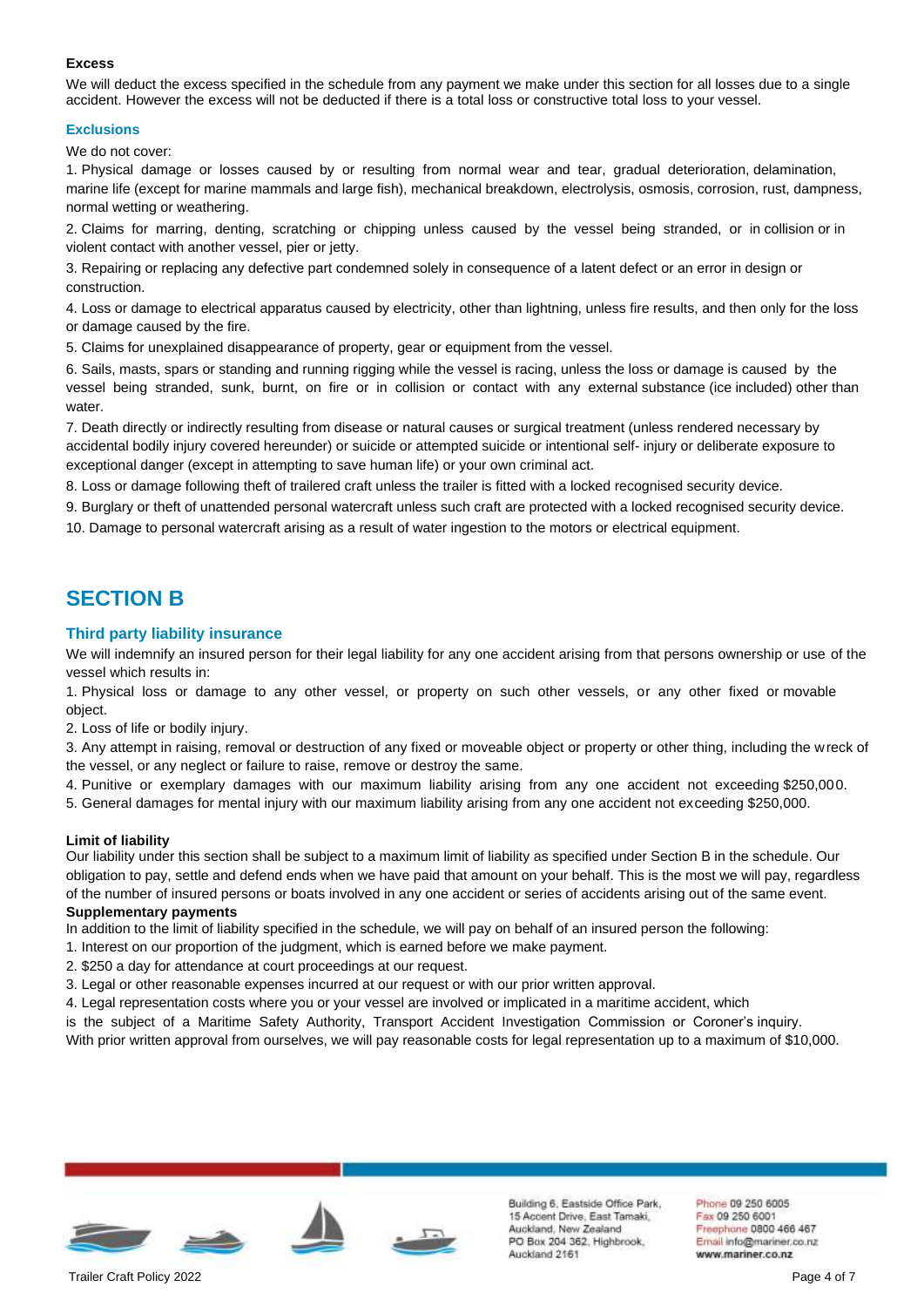## **Excess**

We will deduct the excess specified in the schedule from any payment we make under this section for all losses due to a single accident. However the excess will not be deducted if there is a total loss or constructive total loss to your vessel.

## **Exclusions**

We do not cover:

1. Physical damage or losses caused by or resulting from normal wear and tear, gradual deterioration, delamination, marine life (except for marine mammals and large fish), mechanical breakdown, electrolysis, osmosis, corrosion, rust, dampness, normal wetting or weathering.

2. Claims for marring, denting, scratching or chipping unless caused by the vessel being stranded, or in collision or in violent contact with another vessel, pier or jetty.

3. Repairing or replacing any defective part condemned solely in consequence of a latent defect or an error in design or construction.

4. Loss or damage to electrical apparatus caused by electricity, other than lightning, unless fire results, and then only for the loss or damage caused by the fire.

5. Claims for unexplained disappearance of property, gear or equipment from the vessel.

6. Sails, masts, spars or standing and running rigging while the vessel is racing, unless the loss or damage is caused by the vessel being stranded, sunk, burnt, on fire or in collision or contact with any external substance (ice included) other than water.

7. Death directly or indirectly resulting from disease or natural causes or surgical treatment (unless rendered necessary by accidental bodily injury covered hereunder) or suicide or attempted suicide or intentional self- injury or deliberate exposure to exceptional danger (except in attempting to save human life) or your own criminal act.

8. Loss or damage following theft of trailered craft unless the trailer is fitted with a locked recognised security device.

9. Burglary or theft of unattended personal watercraft unless such craft are protected with a locked recognised security device.

10. Damage to personal watercraft arising as a result of water ingestion to the motors or electrical equipment.

## **SECTION B**

## **Third party liability insurance**

We will indemnify an insured person for their legal liability for any one accident arising from that persons ownership or use of the vessel which results in:

1. Physical loss or damage to any other vessel, or property on such other vessels, or any other fixed or movable object.

2. Loss of life or bodily injury.

3. Any attempt in raising, removal or destruction of any fixed or moveable object or property or other thing, including the wreck of the vessel, or any neglect or failure to raise, remove or destroy the same.

4. Punitive or exemplary damages with our maximum liability arising from any one accident not exceeding \$250,000.

5. General damages for mental injury with our maximum liability arising from any one accident not exceeding \$250,000.

## **Limit of liability**

Our liability under this section shall be subject to a maximum limit of liability as specified under Section B in the schedule. Our obligation to pay, settle and defend ends when we have paid that amount on your behalf. This is the most we will pay, regardless of the number of insured persons or boats involved in any one accident or series of accidents arising out of the same event. **Supplementary payments**

In addition to the limit of liability specified in the schedule, we will pay on behalf of an insured person the following:

- 1. Interest on our proportion of the judgment, which is earned before we make payment.
- 2. \$250 a day for attendance at court proceedings at our request.
- 3. Legal or other reasonable expenses incurred at our request or with our prior written approval.
- 4. Legal representation costs where you or your vessel are involved or implicated in a maritime accident, which

is the subject of a Maritime Safety Authority, Transport Accident Investigation Commission or Coroner's inquiry.

With prior written approval from ourselves, we will pay reasonable costs for legal representation up to a maximum of \$10,000.



Building 6, Eastside Office Park. 15 Accent Drive, East Tamaki, Auckland, New Zealand PO Box 204 362, Highbrook, Auckland 2161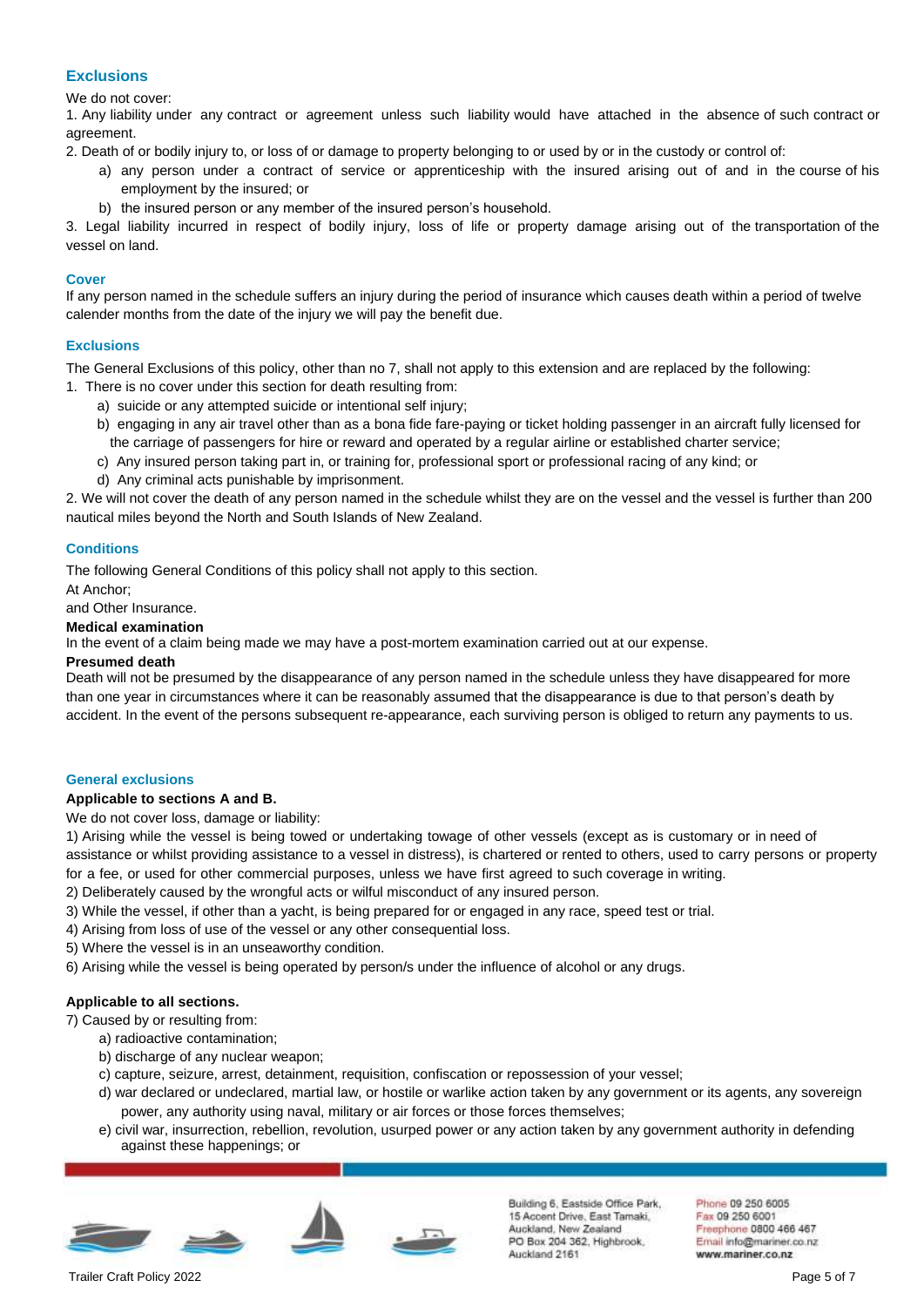## **Exclusions**

We do not cover:

1. Any liability under any contract or agreement unless such liability would have attached in the absence of such contract or agreement.

2. Death of or bodily injury to, or loss of or damage to property belonging to or used by or in the custody or control of:

- a) any person under a contract of service or apprenticeship with the insured arising out of and in the course of his employment by the insured; or
- b) the insured person or any member of the insured person's household.

3. Legal liability incurred in respect of bodily injury, loss of life or property damage arising out of the transportation of the vessel on land.

## **Cover**

If any person named in the schedule suffers an injury during the period of insurance which causes death within a period of twelve calender months from the date of the injury we will pay the benefit due.

## **Exclusions**

The General Exclusions of this policy, other than no 7, shall not apply to this extension and are replaced by the following:

1. There is no cover under this section for death resulting from:

- a) suicide or any attempted suicide or intentional self injury;
- b) engaging in any air travel other than as a bona fide fare-paying or ticket holding passenger in an aircraft fully licensed for the carriage of passengers for hire or reward and operated by a regular airline or established charter service;
- c) Any insured person taking part in, or training for, professional sport or professional racing of any kind; or
- d) Any criminal acts punishable by imprisonment.

2. We will not cover the death of any person named in the schedule whilst they are on the vessel and the vessel is further than 200 nautical miles beyond the North and South Islands of New Zealand.

## **Conditions**

The following General Conditions of this policy shall not apply to this section.

At Anchor;

and Other Insurance.

## **Medical examination**

In the event of a claim being made we may have a post-mortem examination carried out at our expense.

## **Presumed death**

Death will not be presumed by the disappearance of any person named in the schedule unless they have disappeared for more than one year in circumstances where it can be reasonably assumed that the disappearance is due to that person's death by accident. In the event of the persons subsequent re-appearance, each surviving person is obliged to return any payments to us.

## **General exclusions**

## **Applicable to sections A and B.**

We do not cover loss, damage or liability:

1) Arising while the vessel is being towed or undertaking towage of other vessels (except as is customary or in need of assistance or whilst providing assistance to a vessel in distress), is chartered or rented to others, used to carry persons or property for a fee, or used for other commercial purposes, unless we have first agreed to such coverage in writing.

- 2) Deliberately caused by the wrongful acts or wilful misconduct of any insured person.
- 3) While the vessel, if other than a yacht, is being prepared for or engaged in any race, speed test or trial.
- 4) Arising from loss of use of the vessel or any other consequential loss.
- 5) Where the vessel is in an unseaworthy condition.

6) Arising while the vessel is being operated by person/s under the influence of alcohol or any drugs.

## **Applicable to all sections.**

7) Caused by or resulting from:

- a) radioactive contamination;
- b) discharge of any nuclear weapon;
- c) capture, seizure, arrest, detainment, requisition, confiscation or repossession of your vessel;
- d) war declared or undeclared, martial law, or hostile or warlike action taken by any government or its agents, any sovereign power, any authority using naval, military or air forces or those forces themselves;
- e) civil war, insurrection, rebellion, revolution, usurped power or any action taken by any government authority in defending against these happenings; or



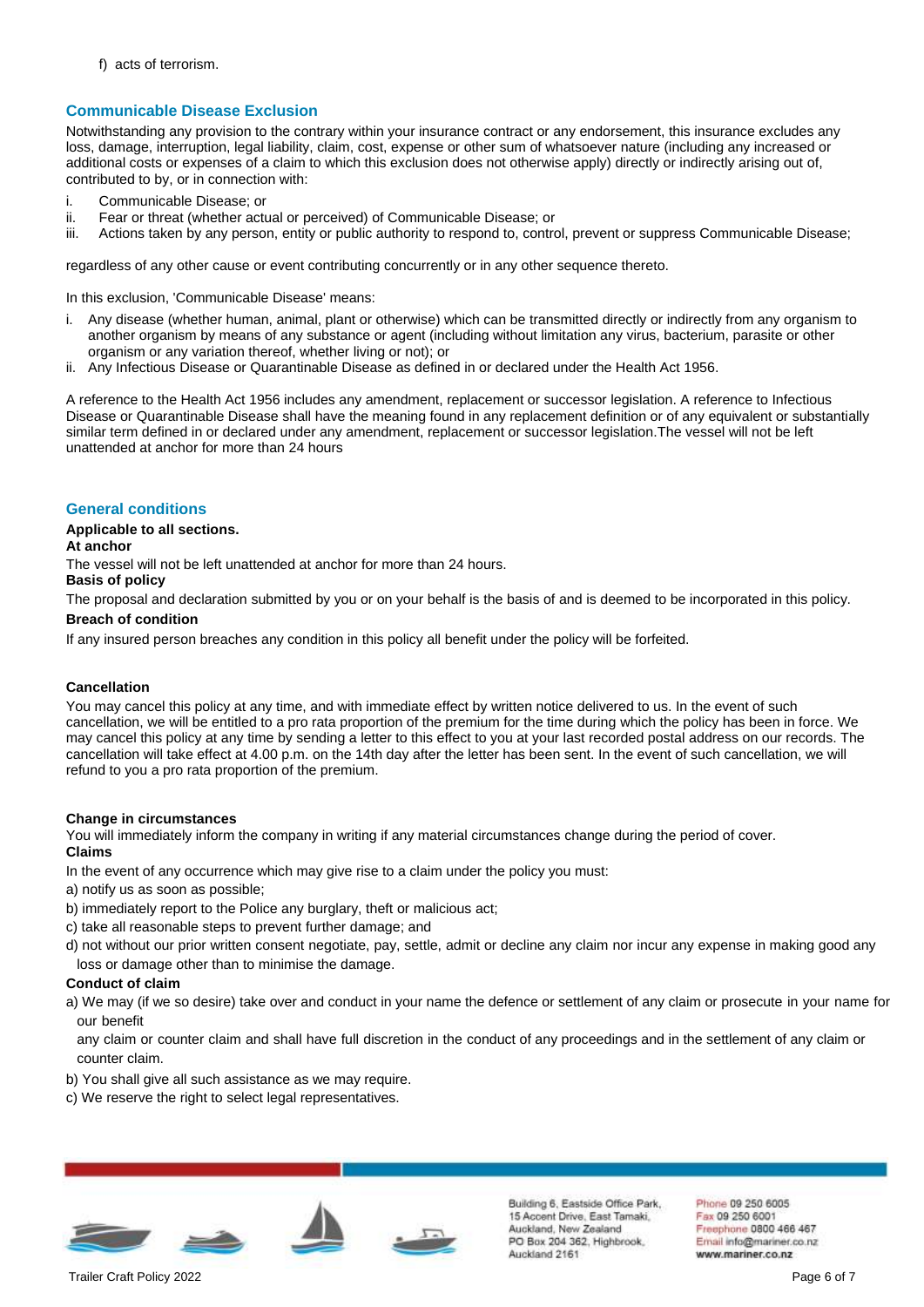f) acts of terrorism.

## **Communicable Disease Exclusion**

Notwithstanding any provision to the contrary within your insurance contract or any endorsement, this insurance excludes any loss, damage, interruption, legal liability, claim, cost, expense or other sum of whatsoever nature (including any increased or additional costs or expenses of a claim to which this exclusion does not otherwise apply) directly or indirectly arising out of, contributed to by, or in connection with:

- i. Communicable Disease; or
- ii. Fear or threat (whether actual or perceived) of Communicable Disease; or
- iii. Actions taken by any person, entity or public authority to respond to, control, prevent or suppress Communicable Disease;

regardless of any other cause or event contributing concurrently or in any other sequence thereto.

In this exclusion, 'Communicable Disease' means:

- i. Any disease (whether human, animal, plant or otherwise) which can be transmitted directly or indirectly from any organism to another organism by means of any substance or agent (including without limitation any virus, bacterium, parasite or other organism or any variation thereof, whether living or not); or
- ii. Any Infectious Disease or Quarantinable Disease as defined in or declared under the Health Act 1956.

A reference to the Health Act 1956 includes any amendment, replacement or successor legislation. A reference to Infectious Disease or Quarantinable Disease shall have the meaning found in any replacement definition or of any equivalent or substantially similar term defined in or declared under any amendment, replacement or successor legislation.The vessel will not be left unattended at anchor for more than 24 hours

## **General conditions**

## **Applicable to all sections.**

## **At anchor**

The vessel will not be left unattended at anchor for more than 24 hours.

## **Basis of policy**

The proposal and declaration submitted by you or on your behalf is the basis of and is deemed to be incorporated in this policy.

## **Breach of condition**

If any insured person breaches any condition in this policy all benefit under the policy will be forfeited.

## **Cancellation**

You may cancel this policy at any time, and with immediate effect by written notice delivered to us. In the event of such cancellation, we will be entitled to a pro rata proportion of the premium for the time during which the policy has been in force. We may cancel this policy at any time by sending a letter to this effect to you at your last recorded postal address on our records. The cancellation will take effect at 4.00 p.m. on the 14th day after the letter has been sent. In the event of such cancellation, we will refund to you a pro rata proportion of the premium.

#### **Change in circumstances**

You will immediately inform the company in writing if any material circumstances change during the period of cover. **Claims**

- In the event of any occurrence which may give rise to a claim under the policy you must:
- a) notify us as soon as possible;
- b) immediately report to the Police any burglary, theft or malicious act;
- c) take all reasonable steps to prevent further damage; and
- d) not without our prior written consent negotiate, pay, settle, admit or decline any claim nor incur any expense in making good any loss or damage other than to minimise the damage.

## **Conduct of claim**

a) We may (if we so desire) take over and conduct in your name the defence or settlement of any claim or prosecute in your name for our benefit

any claim or counter claim and shall have full discretion in the conduct of any proceedings and in the settlement of any claim or counter claim.

- b) You shall give all such assistance as we may require.
- c) We reserve the right to select legal representatives.





Building 6, Eastside Office Park. 15 Accent Drive, East Tamaki, Auckland, New Zealand PO Box 204 362, Highbrook, Auckland 2161